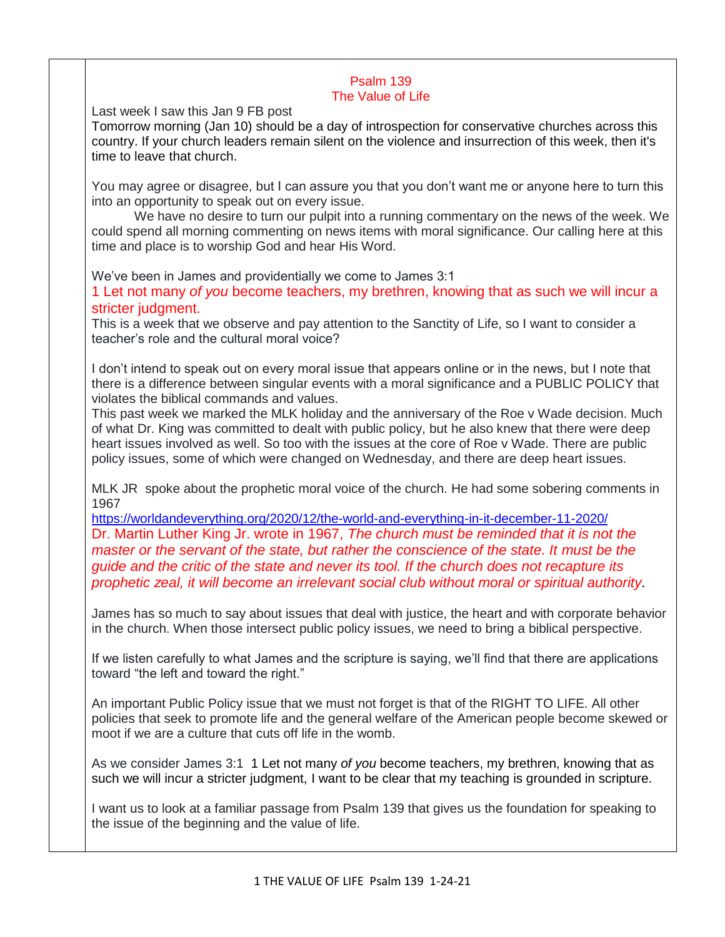## Psalm 139 The Value of Life

Last week I saw this Jan 9 FB post

Tomorrow morning (Jan 10) should be a day of introspection for conservative churches across this country. If your church leaders remain silent on the violence and insurrection of this week, then it's time to leave that church.

You may agree or disagree, but I can assure you that you don't want me or anyone here to turn this into an opportunity to speak out on every issue.

We have no desire to turn our pulpit into a running commentary on the news of the week. We could spend all morning commenting on news items with moral significance. Our calling here at this time and place is to worship God and hear His Word.

We've been in James and providentially we come to James 3:1

1 Let not many *of you* become teachers, my brethren, knowing that as such we will incur a stricter judgment.

This is a week that we observe and pay attention to the Sanctity of Life, so I want to consider a teacher's role and the cultural moral voice?

I don't intend to speak out on every moral issue that appears online or in the news, but I note that there is a difference between singular events with a moral significance and a PUBLIC POLICY that violates the biblical commands and values.

This past week we marked the MLK holiday and the anniversary of the Roe v Wade decision. Much of what Dr. King was committed to dealt with public policy, but he also knew that there were deep heart issues involved as well. So too with the issues at the core of Roe v Wade. There are public policy issues, some of which were changed on Wednesday, and there are deep heart issues.

MLK JR spoke about the prophetic moral voice of the church. He had some sobering comments in 1967

<https://worldandeverything.org/2020/12/the-world-and-everything-in-it-december-11-2020/> Dr. Martin Luther King Jr. wrote in 1967, *The church must be reminded that it is not the master or the servant of the state, but rather the conscience of the state. It must be the guide and the critic of the state and never its tool. If the church does not recapture its prophetic zeal, it will become an irrelevant social club without moral or spiritual authority.*

James has so much to say about issues that deal with justice, the heart and with corporate behavior in the church. When those intersect public policy issues, we need to bring a biblical perspective.

If we listen carefully to what James and the scripture is saying, we'll find that there are applications toward "the left and toward the right."

An important Public Policy issue that we must not forget is that of the RIGHT TO LIFE. All other policies that seek to promote life and the general welfare of the American people become skewed or moot if we are a culture that cuts off life in the womb.

As we consider James 3:1 1 Let not many *of you* become teachers, my brethren, knowing that as such we will incur a stricter judgment, I want to be clear that my teaching is grounded in scripture.

I want us to look at a familiar passage from Psalm 139 that gives us the foundation for speaking to the issue of the beginning and the value of life.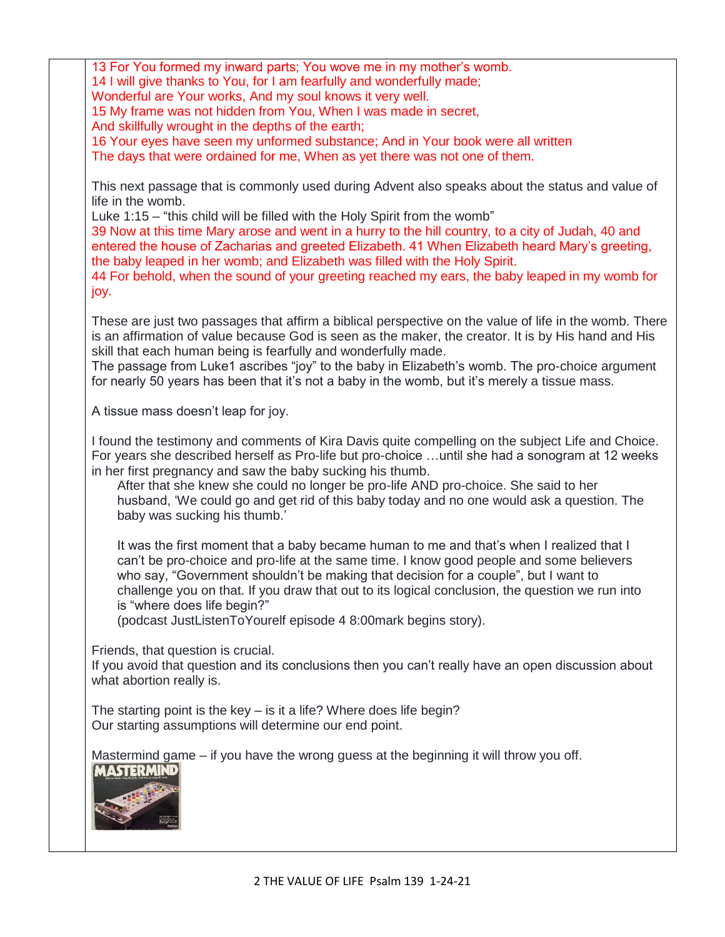13 For You formed my inward parts; You wove me in my mother's womb. 14 I will give thanks to You, for I am fearfully and wonderfully made; Wonderful are Your works, And my soul knows it very well. 15 My frame was not hidden from You, When I was made in secret, And skillfully wrought in the depths of the earth; 16 Your eyes have seen my unformed substance; And in Your book were all written The days that were ordained for me, When as yet there was not one of them. This next passage that is commonly used during Advent also speaks about the status and value of life in the womb. Luke 1:15 – "this child will be filled with the Holy Spirit from the womb" 39 Now at this time Mary arose and went in a hurry to the hill country, to a city of Judah, 40 and entered the house of Zacharias and greeted Elizabeth. 41 When Elizabeth heard Mary's greeting, the baby leaped in her womb; and Elizabeth was filled with the Holy Spirit. 44 For behold, when the sound of your greeting reached my ears, the baby leaped in my womb for joy. These are just two passages that affirm a biblical perspective on the value of life in the womb. There is an affirmation of value because God is seen as the maker, the creator. It is by His hand and His skill that each human being is fearfully and wonderfully made. The passage from Luke1 ascribes "joy" to the baby in Elizabeth's womb. The pro-choice argument for nearly 50 years has been that it's not a baby in the womb, but it's merely a tissue mass. A tissue mass doesn't leap for joy. I found the testimony and comments of Kira Davis quite compelling on the subject Life and Choice. For years she described herself as Pro-life but pro-choice …until she had a sonogram at 12 weeks in her first pregnancy and saw the baby sucking his thumb. After that she knew she could no longer be pro-life AND pro-choice. She said to her husband, 'We could go and get rid of this baby today and no one would ask a question. The baby was sucking his thumb.' It was the first moment that a baby became human to me and that's when I realized that I can't be pro-choice and pro-life at the same time. I know good people and some believers who say, "Government shouldn't be making that decision for a couple", but I want to challenge you on that. If you draw that out to its logical conclusion, the question we run into is "where does life begin?" (podcast JustListenToYourelf episode 4 8:00mark begins story). Friends, that question is crucial. If you avoid that question and its conclusions then you can't really have an open discussion about what abortion really is. The starting point is the key – is it a life? Where does life begin? Our starting assumptions will determine our end point. Mastermind game – if you have the wrong guess at the beginning it will throw you off. **MASTERMIND**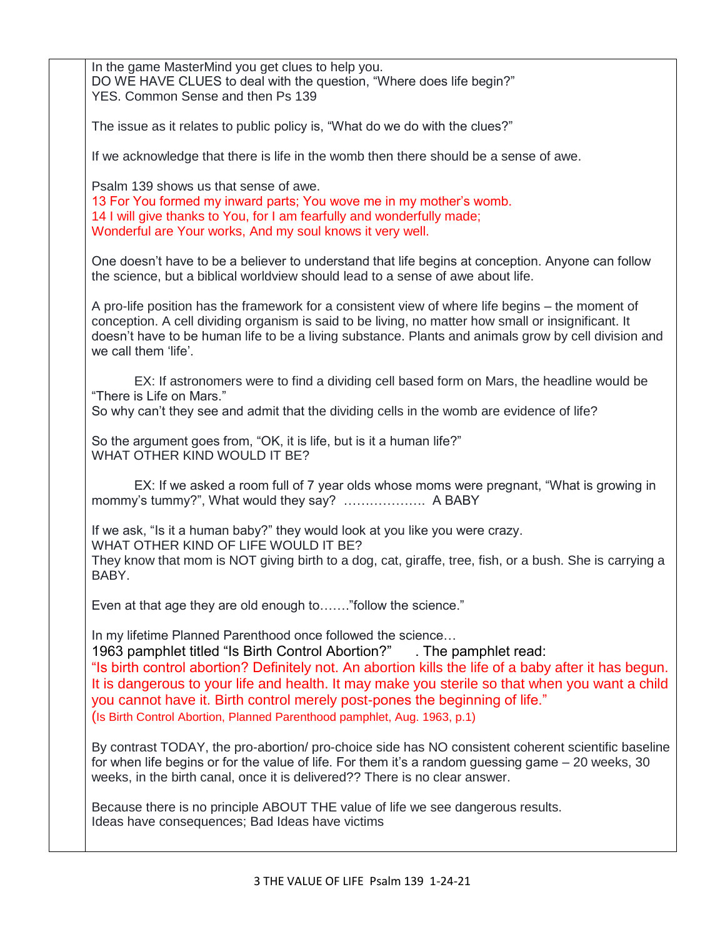| In the game MasterMind you get clues to help you.<br>DO WE HAVE CLUES to deal with the question, "Where does life begin?"<br>YES. Common Sense and then Ps 139                                                                                                                                                                                                                                                                                                                                                |
|---------------------------------------------------------------------------------------------------------------------------------------------------------------------------------------------------------------------------------------------------------------------------------------------------------------------------------------------------------------------------------------------------------------------------------------------------------------------------------------------------------------|
| The issue as it relates to public policy is, "What do we do with the clues?"                                                                                                                                                                                                                                                                                                                                                                                                                                  |
| If we acknowledge that there is life in the womb then there should be a sense of awe.                                                                                                                                                                                                                                                                                                                                                                                                                         |
| Psalm 139 shows us that sense of awe.<br>13 For You formed my inward parts; You wove me in my mother's womb.<br>14 I will give thanks to You, for I am fearfully and wonderfully made;<br>Wonderful are Your works, And my soul knows it very well.                                                                                                                                                                                                                                                           |
| One doesn't have to be a believer to understand that life begins at conception. Anyone can follow<br>the science, but a biblical worldview should lead to a sense of awe about life.                                                                                                                                                                                                                                                                                                                          |
| A pro-life position has the framework for a consistent view of where life begins – the moment of<br>conception. A cell dividing organism is said to be living, no matter how small or insignificant. It<br>doesn't have to be human life to be a living substance. Plants and animals grow by cell division and<br>we call them 'life'.                                                                                                                                                                       |
| EX: If astronomers were to find a dividing cell based form on Mars, the headline would be<br>"There is Life on Mars."<br>So why can't they see and admit that the dividing cells in the womb are evidence of life?                                                                                                                                                                                                                                                                                            |
| So the argument goes from, "OK, it is life, but is it a human life?"<br>WHAT OTHER KIND WOULD IT BE?                                                                                                                                                                                                                                                                                                                                                                                                          |
| EX: If we asked a room full of 7 year olds whose moms were pregnant, "What is growing in<br>mommy's tummy?", What would they say?  A BABY                                                                                                                                                                                                                                                                                                                                                                     |
| If we ask, "Is it a human baby?" they would look at you like you were crazy.<br>WHAT OTHER KIND OF LIFE WOULD IT BE?<br>They know that mom is NOT giving birth to a dog, cat, giraffe, tree, fish, or a bush. She is carrying a<br>BABY.                                                                                                                                                                                                                                                                      |
| Even at that age they are old enough to" follow the science."                                                                                                                                                                                                                                                                                                                                                                                                                                                 |
| In my lifetime Planned Parenthood once followed the science<br>1963 pamphlet titled "Is Birth Control Abortion?"<br>. The pamphlet read:<br>"Is birth control abortion? Definitely not. An abortion kills the life of a baby after it has begun.<br>It is dangerous to your life and health. It may make you sterile so that when you want a child<br>you cannot have it. Birth control merely post-pones the beginning of life."<br>(Is Birth Control Abortion, Planned Parenthood pamphlet, Aug. 1963, p.1) |
| By contrast TODAY, the pro-abortion/ pro-choice side has NO consistent coherent scientific baseline<br>for when life begins or for the value of life. For them it's a random guessing game - 20 weeks, 30<br>weeks, in the birth canal, once it is delivered?? There is no clear answer.                                                                                                                                                                                                                      |
| Because there is no principle ABOUT THE value of life we see dangerous results.<br>Ideas have consequences; Bad Ideas have victims                                                                                                                                                                                                                                                                                                                                                                            |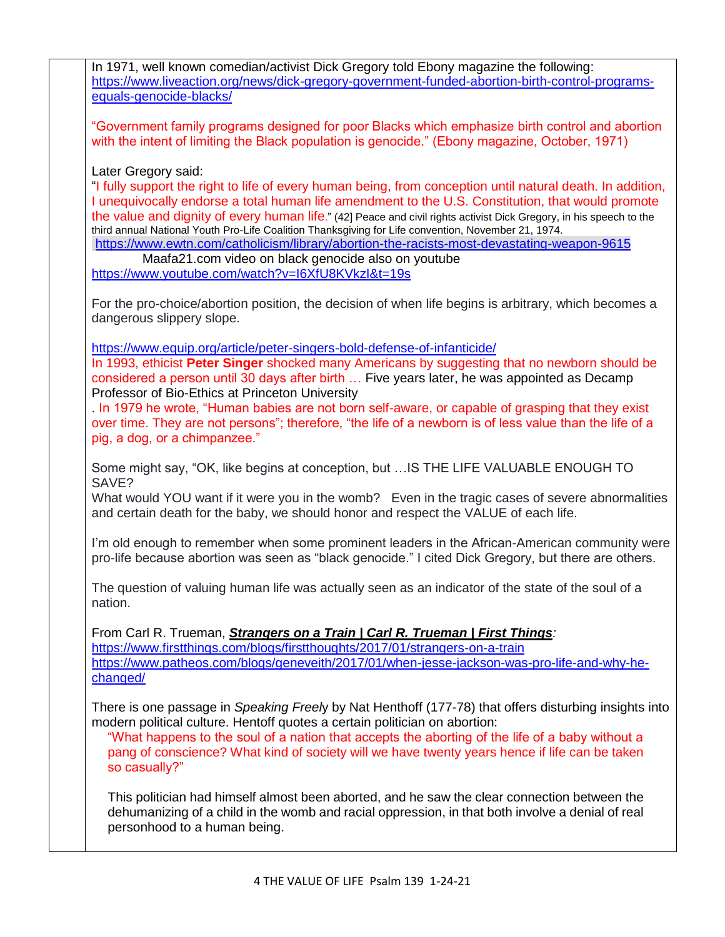| https://www.liveaction.org/news/dick-gregory-government-funded-abortion-birth-control-programs-<br>equals-genocide-blacks/                                                                                                                                                                                                                                                                                                                                                                                                                                                                                                                                                     |
|--------------------------------------------------------------------------------------------------------------------------------------------------------------------------------------------------------------------------------------------------------------------------------------------------------------------------------------------------------------------------------------------------------------------------------------------------------------------------------------------------------------------------------------------------------------------------------------------------------------------------------------------------------------------------------|
| "Government family programs designed for poor Blacks which emphasize birth control and abortion<br>with the intent of limiting the Black population is genocide." (Ebony magazine, October, 1971)                                                                                                                                                                                                                                                                                                                                                                                                                                                                              |
| Later Gregory said:<br>"I fully support the right to life of every human being, from conception until natural death. In addition,<br>I unequivocally endorse a total human life amendment to the U.S. Constitution, that would promote<br>the value and dignity of every human life." (42] Peace and civil rights activist Dick Gregory, in his speech to the<br>third annual National Youth Pro-Life Coalition Thanksgiving for Life convention, November 21, 1974.<br>https://www.ewtn.com/catholicism/library/abortion-the-racists-most-devastating-weapon-9615<br>Maafa21.com video on black genocide also on youtube<br>https://www.youtube.com/watch?v=I6XfU8KVkzI&t=19s |
| For the pro-choice/abortion position, the decision of when life begins is arbitrary, which becomes a<br>dangerous slippery slope.                                                                                                                                                                                                                                                                                                                                                                                                                                                                                                                                              |
| https://www.equip.org/article/peter-singers-bold-defense-of-infanticide/<br>In 1993, ethicist Peter Singer shocked many Americans by suggesting that no newborn should be<br>considered a person until 30 days after birth  Five years later, he was appointed as Decamp<br>Professor of Bio-Ethics at Princeton University<br>. In 1979 he wrote, "Human babies are not born self-aware, or capable of grasping that they exist<br>over time. They are not persons"; therefore, "the life of a newborn is of less value than the life of a<br>pig, a dog, or a chimpanzee."                                                                                                   |
| Some might say, "OK, like begins at conception, but  IS THE LIFE VALUABLE ENOUGH TO<br>SAVE?<br>What would YOU want if it were you in the womb? Even in the tragic cases of severe abnormalities<br>and certain death for the baby, we should honor and respect the VALUE of each life.                                                                                                                                                                                                                                                                                                                                                                                        |
| I'm old enough to remember when some prominent leaders in the African-American community were<br>pro-life because abortion was seen as "black genocide." I cited Dick Gregory, but there are others.                                                                                                                                                                                                                                                                                                                                                                                                                                                                           |
| The question of valuing human life was actually seen as an indicator of the state of the soul of a<br>nation.                                                                                                                                                                                                                                                                                                                                                                                                                                                                                                                                                                  |
| From Carl R. Trueman, Strangers on a Train   Carl R. Trueman   First Things:<br>https://www.firstthings.com/blogs/firstthoughts/2017/01/strangers-on-a-train<br>https://www.patheos.com/blogs/geneveith/2017/01/when-jesse-jackson-was-pro-life-and-why-he-<br>changed/                                                                                                                                                                                                                                                                                                                                                                                                        |
| There is one passage in Speaking Freely by Nat Henthoff (177-78) that offers disturbing insights into<br>modern political culture. Hentoff quotes a certain politician on abortion:<br>"What happens to the soul of a nation that accepts the aborting of the life of a baby without a<br>pang of conscience? What kind of society will we have twenty years hence if life can be taken<br>so casually?"                                                                                                                                                                                                                                                                       |
| This politician had himself almost been aborted, and he saw the clear connection between the<br>dehumanizing of a child in the womb and racial oppression, in that both involve a denial of real<br>personhood to a human being.                                                                                                                                                                                                                                                                                                                                                                                                                                               |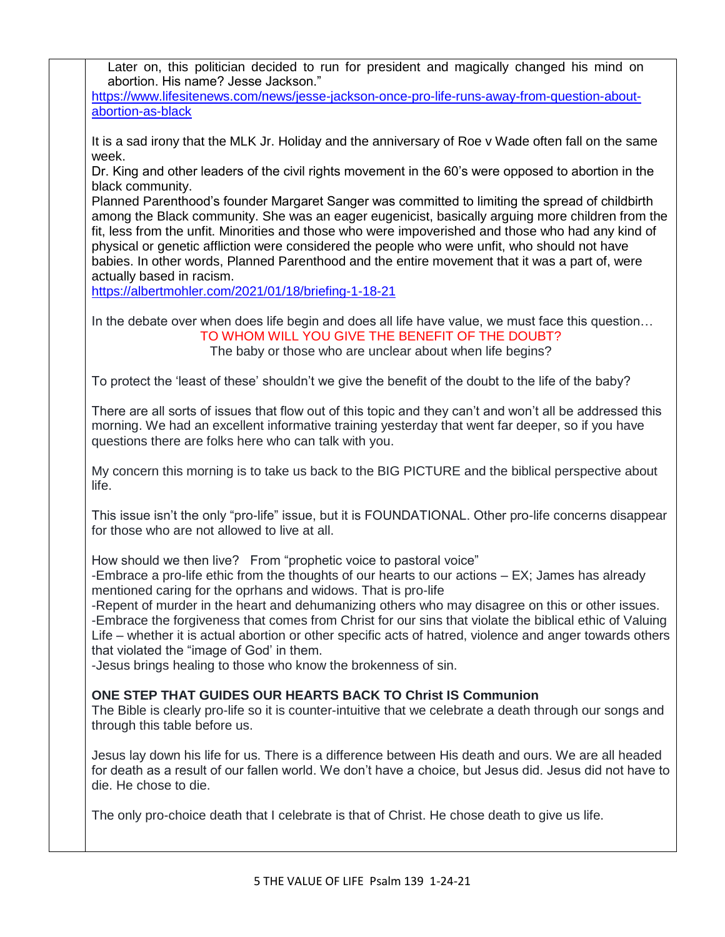Later on, this politician decided to run for president and magically changed his mind on abortion. His name? Jesse Jackson."

[https://www.lifesitenews.com/news/jesse-jackson-once-pro-life-runs-away-from-question-about](https://www.lifesitenews.com/news/jesse-jackson-once-pro-life-runs-away-from-question-about-abortion-as-black)[abortion-as-black](https://www.lifesitenews.com/news/jesse-jackson-once-pro-life-runs-away-from-question-about-abortion-as-black)

It is a sad irony that the MLK Jr. Holiday and the anniversary of Roe v Wade often fall on the same week.

Dr. King and other leaders of the civil rights movement in the 60's were opposed to abortion in the black community.

Planned Parenthood's founder Margaret Sanger was committed to limiting the spread of childbirth among the Black community. She was an eager eugenicist, basically arguing more children from the fit, less from the unfit. Minorities and those who were impoverished and those who had any kind of physical or genetic affliction were considered the people who were unfit, who should not have babies. In other words, Planned Parenthood and the entire movement that it was a part of, were actually based in racism.

<https://albertmohler.com/2021/01/18/briefing-1-18-21>

In the debate over when does life begin and does all life have value, we must face this question… TO WHOM WILL YOU GIVE THE BENEFIT OF THE DOUBT?

The baby or those who are unclear about when life begins?

To protect the 'least of these' shouldn't we give the benefit of the doubt to the life of the baby?

There are all sorts of issues that flow out of this topic and they can't and won't all be addressed this morning. We had an excellent informative training yesterday that went far deeper, so if you have questions there are folks here who can talk with you.

My concern this morning is to take us back to the BIG PICTURE and the biblical perspective about life.

This issue isn't the only "pro-life" issue, but it is FOUNDATIONAL. Other pro-life concerns disappear for those who are not allowed to live at all.

How should we then live? From "prophetic voice to pastoral voice"

-Embrace a pro-life ethic from the thoughts of our hearts to our actions – EX; James has already mentioned caring for the oprhans and widows. That is pro-life

-Repent of murder in the heart and dehumanizing others who may disagree on this or other issues. -Embrace the forgiveness that comes from Christ for our sins that violate the biblical ethic of Valuing

Life – whether it is actual abortion or other specific acts of hatred, violence and anger towards others that violated the "image of God' in them.

-Jesus brings healing to those who know the brokenness of sin.

## **ONE STEP THAT GUIDES OUR HEARTS BACK TO Christ IS Communion**

The Bible is clearly pro-life so it is counter-intuitive that we celebrate a death through our songs and through this table before us.

Jesus lay down his life for us. There is a difference between His death and ours. We are all headed for death as a result of our fallen world. We don't have a choice, but Jesus did. Jesus did not have to die. He chose to die.

The only pro-choice death that I celebrate is that of Christ. He chose death to give us life.